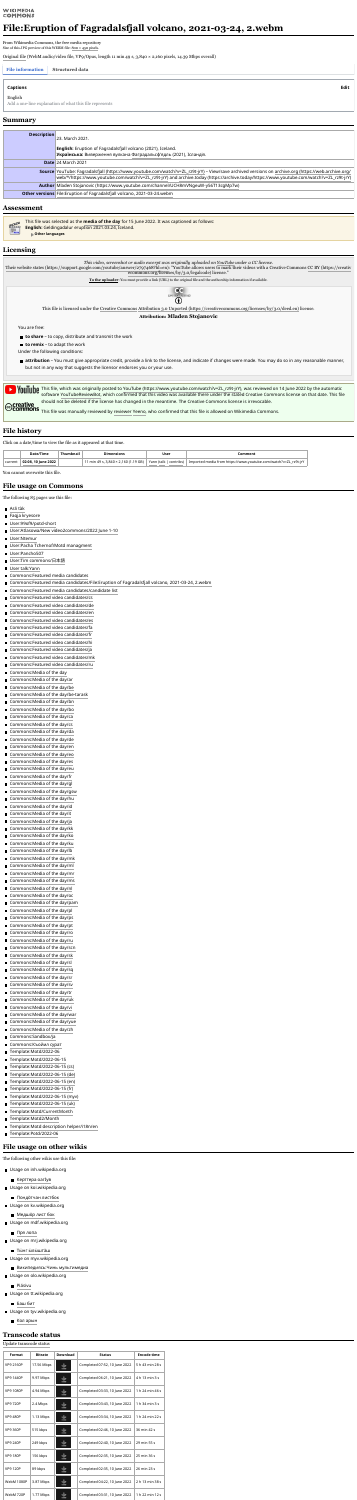### **WIKIMEDIA COMMONS**

# **File:Eruption of Fagradalsfjall volcano, 2021-03-24, 2.webm**

From Wikimedia Commons, the free media repository Size of this JPG preview of this WEBM file:  $800 \times 450$  [pixels.](https://upload.wikimedia.org/wikipedia/commons/thumb/2/21/Eruption_of_Fagradalsfjall_volcano%2C_2021-03-24%2C_2.webm/800px--Eruption_of_Fagradalsfjall_volcano%2C_2021-03-24%2C_2.webm.jpg)

[Original](https://upload.wikimedia.org/wikipedia/commons/2/21/Eruption_of_Fagradalsfjall_volcano%2C_2021-03-24%2C_2.webm) file (WebM audio/video file, VP9/Opus, length 11 min 49 s, 3,840 × 2,160 pixels, 14.39 Mbps overall)

#### **File information Structured data**

| <b>Description</b> | 23. March 2021.                                                                                                                                     |  |  |  |  |  |  |
|--------------------|-----------------------------------------------------------------------------------------------------------------------------------------------------|--|--|--|--|--|--|
|                    | <b>English:</b> Eruption of Fagradalsfjall volcano (2021), Iceland.                                                                                 |  |  |  |  |  |  |
|                    | <b>Українська:</b> Виверження вулкана Фаградальсф'ядль (2021), Ісландія.                                                                            |  |  |  |  |  |  |
|                    | <b>Date 24 March 2021</b>                                                                                                                           |  |  |  |  |  |  |
|                    | Source YouTube: Fagradalsfjall (https://www.youtube.com/watch?v=ZL_rz9t-jrY) – View/save archived versions on archive.org (https://web.archive.org/ |  |  |  |  |  |  |
|                    | web/*/https://www.youtube.com/watch?v=ZL_rz9t-jrY) and archive.today (https://archive.today/https://www.youtube.com/watch?v=ZL_rz9t-jrY)            |  |  |  |  |  |  |
|                    | <b>Author Maden Stojanovic (https://www.youtube.com/channel/UCH8mVNgeuW-y56T13cgMp7w)</b>                                                           |  |  |  |  |  |  |
|                    | Other versions File: Eruption of Fagradalsfiall volcano, 2021-03-24. webm                                                                           |  |  |  |  |  |  |

This file was selected as the **[media](https://commons.wikimedia.org/wiki/Commons:Media_of_the_day) of the day** for 15 June 2022. It was captioned as follows: **REAL English:** Geldingadalur eruption 2021.03.24, Iceland.  $\bigcirc$ <sub>Moti</sub> **Other languages**

**attribution** – You must give appropriate credit, provide a link to the license, and indicate if changes were made. You may do so in any reasonable manner, but not in any way that suggests the licensor endorses you or your use.



You are free:

**to share** – to copy, distribute and transmit the work

**to remix** – to adapt the work

Under the following conditions:



Click on a date/time to view the file as it appeared at that time.

|         | Date/Time            | mensions                                                            | <b>User</b>               | omment.                                                      |
|---------|----------------------|---------------------------------------------------------------------|---------------------------|--------------------------------------------------------------|
| current | 10 June 2022<br>ח∙כה | $(2,160(1.19 \text{ GB}))$<br>$\sim$ s, 3,840 x $\sim$<br>min 49 s. | Yann (talk  <br>contribs) | rz9t-jrY<br>Imported media from<br>: voutube.com/watch?v=ZL. |

You cannot overwrite this file.

The following 85 pages use this file:

- [Asli](https://commons.wikimedia.org/wiki/Asli_t%C3%A0k) tàk
- Faqja [kryesore](https://commons.wikimedia.org/wiki/Faqja_kryesore)
- [User:99of9/potd-short](https://commons.wikimedia.org/wiki/User:99of9/potd-short)
- User:Atlasowa/New [video2commons/2022](https://commons.wikimedia.org/wiki/User:Atlasowa/New_video2commons/2022_June_1-10) June 1-10
- **[User:Ntemur](https://commons.wikimedia.org/wiki/User:Ntemur)**
- User:Pacha [Tchernof/Motd](https://commons.wikimedia.org/wiki/User:Pacha_Tchernof/Motd_managment) managment
- [User:Pancho507](https://commons.wikimedia.org/wiki/User:Pancho507)
- User:Tim [commons/](https://commons.wikimedia.org/wiki/User:Tim_commons/%E6%97%A5%E6%9C%AC%E8%AA%9E)日本語
- User [talk:Yann](https://commons.wikimedia.org/wiki/User_talk:Yann)
- [Commons:Featured](https://commons.wikimedia.org/wiki/Commons:Featured_media_candidates) media candidates
- Commons:Featured media [candidates/File:Eruption](https://commons.wikimedia.org/wiki/Commons:Featured_media_candidates/File:Eruption_of_Fagradalsfjall_volcano,_2021-03-24,_2.webm) of Fagradalsfjall volcano, 2021-03-24, 2.webm
- Commons:Featured media [candidates/candidate](https://commons.wikimedia.org/wiki/Commons:Featured_media_candidates/candidate_list) list
- [Commons:Featured](https://commons.wikimedia.org/wiki/Commons:Featured_video_candidates/cs) video candidates/cs
- [Commons:Featured](https://commons.wikimedia.org/wiki/Commons:Featured_video_candidates/de) video candidates/de
- [Commons:Featured](https://commons.wikimedia.org/wiki/Commons:Featured_video_candidates/en) video candidates/en
- [Commons:Featured](https://commons.wikimedia.org/wiki/Commons:Featured_video_candidates/es) video candidates/es
- [Commons:Featured](https://commons.wikimedia.org/wiki/Commons:Featured_video_candidates/fa) video candidates/fa
- [Commons:Featured](https://commons.wikimedia.org/wiki/Commons:Featured_video_candidates/fr) video candidates/fr
- [Commons:Featured](https://commons.wikimedia.org/wiki/Commons:Featured_video_candidates/hi) video candidates/hi
- [Commons:Featured](https://commons.wikimedia.org/wiki/Commons:Featured_video_candidates/ja) video candidates/ja
- [Commons:Featured](https://commons.wikimedia.org/wiki/Commons:Featured_video_candidates/mk) video candidates/mk
- [Commons:Featured](https://commons.wikimedia.org/wiki/Commons:Featured_video_candidates/ru) video candidates/ru
- [Commons:Media](https://commons.wikimedia.org/wiki/Commons:Media_of_the_day) of the day
- [Commons:Media](https://commons.wikimedia.org/wiki/Commons:Media_of_the_day/ar) of the day/ar
- [Commons:Media](https://commons.wikimedia.org/wiki/Commons:Media_of_the_day/be) of the day/be
- [Commons:Media](https://commons.wikimedia.org/wiki/Commons:Media_of_the_day/be-tarask) of the day/be-tarask
- [Commons:Media](https://commons.wikimedia.org/wiki/Commons:Media_of_the_day/bn) of the day/bn
- [Commons:Media](https://commons.wikimedia.org/wiki/Commons:Media_of_the_day/bo) of the day/bo
- [Commons:Media](https://commons.wikimedia.org/wiki/Commons:Media_of_the_day/ca) of the day/ca
- [Commons:Media](https://commons.wikimedia.org/wiki/Commons:Media_of_the_day/cs) of the day/cs
- [Commons:Media](https://commons.wikimedia.org/wiki/Commons:Media_of_the_day/da) of the day/da
- [Commons:Media](https://commons.wikimedia.org/wiki/Commons:Media_of_the_day/de) of the day/de
- [Commons:Media](https://commons.wikimedia.org/wiki/Commons:Media_of_the_day/en) of the day/en  $\blacksquare$
- [Commons:Media](https://commons.wikimedia.org/wiki/Commons:Media_of_the_day/eo) of the day/eo
- [Commons:Media](https://commons.wikimedia.org/wiki/Commons:Media_of_the_day/es) of the day/es
- Commons: Media of the day/eu
- [Commons:Media](https://commons.wikimedia.org/wiki/Commons:Media_of_the_day/fr) of the day/fr  $\blacksquare$
- [Commons:Media](https://commons.wikimedia.org/wiki/Commons:Media_of_the_day/gl) of the day/gl
- [Commons:Media](https://commons.wikimedia.org/wiki/Commons:Media_of_the_day/gsw) of the day/gsw
- [Commons:Media](https://commons.wikimedia.org/wiki/Commons:Media_of_the_day/hu) of the day/hu
- [Commons:Media](https://commons.wikimedia.org/wiki/Commons:Media_of_the_day/id) of the day/id  $\blacksquare$
- Commons: Media of the day/it
- [Commons:Media](https://commons.wikimedia.org/wiki/Commons:Media_of_the_day/ja) of the day/ja
- [Commons:Media](https://commons.wikimedia.org/wiki/Commons:Media_of_the_day/kk) of the day/kk
- [Commons:Media](https://commons.wikimedia.org/wiki/Commons:Media_of_the_day/ko) of the day/ko  $\blacksquare$
- Commons: Media of the day/ku
- [Commons:Media](https://commons.wikimedia.org/wiki/Commons:Media_of_the_day/lb) of the day/lb
- [Commons:Media](https://commons.wikimedia.org/wiki/Commons:Media_of_the_day/mk) of the day/mk
- [Commons:Media](https://commons.wikimedia.org/wiki/Commons:Media_of_the_day/ml) of the day/ml  $\blacksquare$
- [Commons:Media](https://commons.wikimedia.org/wiki/Commons:Media_of_the_day/mr) of the day/mr
- [Commons:Media](https://commons.wikimedia.org/wiki/Commons:Media_of_the_day/ms) of the day/ms
- [Commons:Media](https://commons.wikimedia.org/wiki/Commons:Media_of_the_day/nl) of the day/nl
- [Commons:Media](https://commons.wikimedia.org/wiki/Commons:Media_of_the_day/oc) of the day/oc
- [Commons:Media](https://commons.wikimedia.org/wiki/Commons:Media_of_the_day/pam) of the day/pam
- [Commons:Media](https://commons.wikimedia.org/wiki/Commons:Media_of_the_day/pl) of the day/pl
- [Commons:Media](https://commons.wikimedia.org/wiki/Commons:Media_of_the_day/ps) of the day/ps
- [Commons:Media](https://commons.wikimedia.org/wiki/Commons:Media_of_the_day/pt) of the day/pt
- [Commons:Media](https://commons.wikimedia.org/wiki/Commons:Media_of_the_day/ro) of the day/ro
- [Commons:Media](https://commons.wikimedia.org/wiki/Commons:Media_of_the_day/ru) of the day/ru
- [Commons:Media](https://commons.wikimedia.org/wiki/Commons:Media_of_the_day/scn) of the day/scn
- [Commons:Media](https://commons.wikimedia.org/wiki/Commons:Media_of_the_day/sk) of the day/sk
- Commons: Media of the day/sl
- [Commons:Media](https://commons.wikimedia.org/wiki/Commons:Media_of_the_day/sq) of the day/sq
- [Commons:Media](https://commons.wikimedia.org/wiki/Commons:Media_of_the_day/sr) of the day/sr
- [Commons:Media](https://commons.wikimedia.org/wiki/Commons:Media_of_the_day/sv) of the day/sv
- [Commons:Media](https://commons.wikimedia.org/wiki/Commons:Media_of_the_day/tr) of the day/tr
- Commons: Media of the day/uk
- [Commons:Media](https://commons.wikimedia.org/wiki/Commons:Media_of_the_day/vi) of the day/vi
- [Commons:Media](https://commons.wikimedia.org/wiki/Commons:Media_of_the_day/war) of the day/war
- [Commons:Media](https://commons.wikimedia.org/wiki/Commons:Media_of_the_day/yue) of the day/yue
- [Commons:Media](https://commons.wikimedia.org/wiki/Commons:Media_of_the_day/zh) of the day/zh
- [Commons:Sandbox/ja](https://commons.wikimedia.org/wiki/Commons:Sandbox/ja)
- [Commons:Къойил](https://commons.wikimedia.org/wiki/Commons:%D0%9A%D1%8A%D0%BE%D0%B9%D0%B8%D0%BB_%D1%81%D1%83%D1%80%D0%B0%D1%82) сурат
- [Template:Motd/2022-06](https://commons.wikimedia.org/wiki/Template:Motd/2022-06)
- [Template:Motd/2022-06-15](https://commons.wikimedia.org/wiki/Template:Motd/2022-06-15)
- [Template:Motd/2022-06-15](https://commons.wikimedia.org/wiki/Template:Motd/2022-06-15_(cs)) (cs)
- [Template:Motd/2022-06-15](https://commons.wikimedia.org/wiki/Template:Motd/2022-06-15_(de)) (de)
- [Template:Motd/2022-06-15](https://commons.wikimedia.org/wiki/Template:Motd/2022-06-15_(en)) (en)
- [Template:Motd/2022-06-15](https://commons.wikimedia.org/wiki/Template:Motd/2022-06-15_(fr)) (fr)
- [Template:Motd/2022-06-15](https://commons.wikimedia.org/wiki/Template:Motd/2022-06-15_(myv)) (myv)
- [Template:Motd/2022-06-15](https://commons.wikimedia.org/wiki/Template:Motd/2022-06-15_(uk)) (uk)
- [Template:Motd/CurrentMonth](https://commons.wikimedia.org/wiki/Template:Motd/CurrentMonth)
- [Template:Motd2/Month](https://commons.wikimedia.org/wiki/Template:Motd2/Month)
- 
- [Template:Motd](https://commons.wikimedia.org/wiki/Template:Motd_description_helper/i18n/en) description helper/i18n/en
- [Template:Potd/2022-06](https://commons.wikimedia.org/wiki/Template:Potd/2022-06)

- Usage on inh.wikipedia.org
	- [Керттера](https://inh.wikipedia.org/wiki/%D0%9A%D0%B5%D1%80%D1%82%D1%82%D0%B5%D1%80%D0%B0_%D0%BE%D0%B0%D0%B3%D3%80%D1%83%D0%B2) оагӀув
- Usage on koi.wikipedia.org
	- [Пондӧтчан](https://koi.wikipedia.org/wiki/%D0%9F%D0%BE%D0%BD%D0%B4%D3%A7%D1%82%D1%87%D0%B0%D0%BD_%D0%BB%D0%B8%D1%81%D1%82%D0%B1%D0%BE%D0%BA) листбок
- Usage on kv.wikipedia.org
	- Медшöр лист бок
- Usage on mdf.wikipedia.org
	- Пря [лопа](https://mdf.wikipedia.org/wiki/%D0%9F%D1%80%D1%8F_%D0%BB%D0%BE%D0%BF%D0%B0)
- Usage on mrj.wikipedia.org
	- Тӹнг [ӹлӹштӓш](https://mrj.wikipedia.org/wiki/%D0%A2%D3%B9%D0%BD%D0%B3_%D3%B9%D0%BB%D3%B9%D1%88%D1%82%D3%93%D1%88)
- Usage on myv.wikipedia.org
	- [Википедиясь:Чинь](https://myv.wikipedia.org/wiki/%D0%92%D0%B8%D0%BA%D0%B8%D0%BF%D0%B5%D0%B4%D0%B8%D1%8F%D1%81%D1%8C:%D0%A7%D0%B8%D0%BD%D1%8C_%D0%BC%D1%83%D0%BB%D1%8C%D1%82%D0%B8%D0%BC%D0%B5%D0%B4%D0%B8%D0%B0) мультимедиа
- Usage on olo.wikipedia.org
	- [Piäsivu](https://olo.wikipedia.org/wiki/Pi%C3%A4sivu)
- Usage on tt.wikipedia.org
	- [Баш](https://tt.wikipedia.org/wiki/%D0%91%D0%B0%D1%88_%D0%B1%D0%B8%D1%82) бит
- Usage on tyv.wikipedia.org
	- Кол [арын](https://tyv.wikipedia.org/wiki/%D0%9A%D0%BE%D0%BB_%D0%B0%D1%80%D1%8B%D0%BD)

The following other wikis use this file:

### Update [transcode](https://commons.wikimedia.org/w/index.php?title=File:Eruption_of_Fagradalsfjall_volcano,_2021-03-24,_2.webm&action=purge) status

| <b>Format</b>     | <b>Bitrate</b> | <b>Download</b> | <b>Status</b>                 | <b>Encode time</b> |
|-------------------|----------------|-----------------|-------------------------------|--------------------|
| <b>VP9 2160P</b>  | 17.56 Mbps     |                 | Completed 07:52, 10 June 2022 | 5 h 43 min 28 s    |
| <b>VP9 1440P</b>  | 9.97 Mbps      |                 | Completed 06:21, 10 June 2022 | 4 h 13 min 3 s     |
| <b>VP9 1080P</b>  | 4.94 Mbps      |                 | Completed 03:33, 10 June 2022 | 1 h 24 min 46 s    |
| <b>VP9 720P</b>   | 2.4 Mbps       |                 | Completed 03:43, 10 June 2022 | 1 h 34 min 3 s     |
| <b>VP9 480P</b>   | 1.13 Mbps      | 坐               | Completed 03:34, 10 June 2022 | 1 h 24 min 22 s    |
| <b>VP9 360P</b>   | 515 kbps       | ᆇ               | Completed 02:46, 10 June 2022 | 36 min 42 s        |
| <b>VP9 240P</b>   | 249 kbps       |                 | Completed 02:40, 10 June 2022 | 29 min 55 s        |
| <b>VP9 180P</b>   | 156 kbps       |                 | Completed 02:35, 10 June 2022 | 25 min 36 s        |
| <b>VP9 120P</b>   | 89 kbps        |                 | Completed 02:35, 10 June 2022 | 26 min 23 s        |
| <b>WebM 1080P</b> | 3.87 Mbps      |                 | Completed 04:22, 10 June 2022 | 2 h 13 min 38 s    |
| WebM 720P         | 1.77 Mbps      |                 | Completed 03:31, 10 June 2022 | 1 h 22 min 12 s    |

English

Add a one-line explanation of what this file represents

### **Captions Edit**

### **Summary**

### **Assessment**

## **Licensing**

## **File history**

## **File usage on Commons**

## **File usage on other wikis**

## **Transcode status**